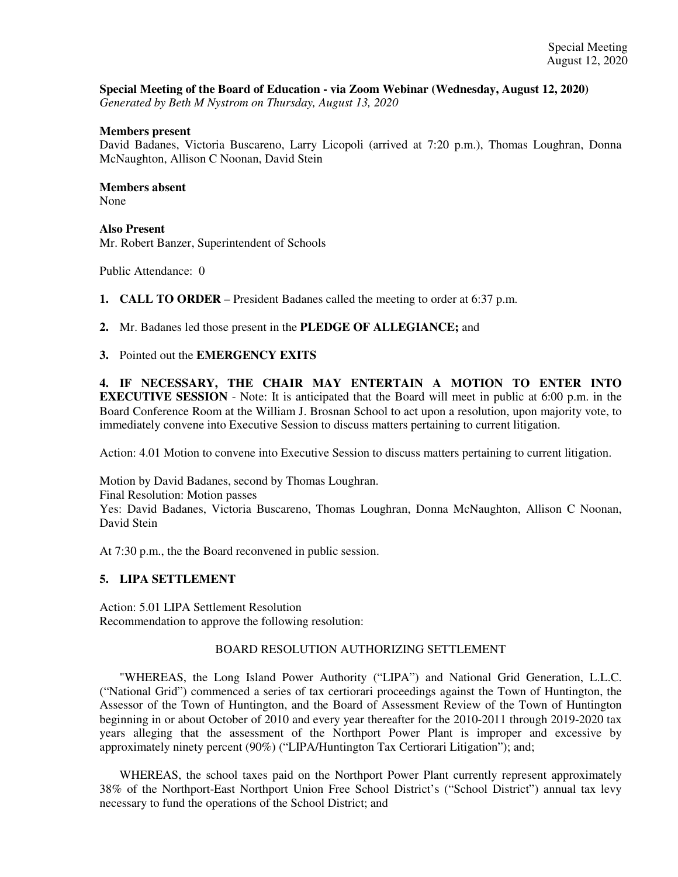## **Special Meeting of the Board of Education - via Zoom Webinar (Wednesday, August 12, 2020)**

*Generated by Beth M Nystrom on Thursday, August 13, 2020*

#### **Members present**

David Badanes, Victoria Buscareno, Larry Licopoli (arrived at 7:20 p.m.), Thomas Loughran, Donna McNaughton, Allison C Noonan, David Stein

### **Members absent**

None

### **Also Present**

Mr. Robert Banzer, Superintendent of Schools

Public Attendance: 0

**1. CALL TO ORDER** – President Badanes called the meeting to order at 6:37 p.m.

### **2.** Mr. Badanes led those present in the **PLEDGE OF ALLEGIANCE;** and

**3.** Pointed out the **EMERGENCY EXITS**

**4. IF NECESSARY, THE CHAIR MAY ENTERTAIN A MOTION TO ENTER INTO EXECUTIVE SESSION** - Note: It is anticipated that the Board will meet in public at 6:00 p.m. in the Board Conference Room at the William J. Brosnan School to act upon a resolution, upon majority vote, to immediately convene into Executive Session to discuss matters pertaining to current litigation.

Action: 4.01 Motion to convene into Executive Session to discuss matters pertaining to current litigation.

Motion by David Badanes, second by Thomas Loughran. Final Resolution: Motion passes Yes: David Badanes, Victoria Buscareno, Thomas Loughran, Donna McNaughton, Allison C Noonan, David Stein

At 7:30 p.m., the the Board reconvened in public session.

# **5. LIPA SETTLEMENT**

Action: 5.01 LIPA Settlement Resolution Recommendation to approve the following resolution:

### BOARD RESOLUTION AUTHORIZING SETTLEMENT

"WHEREAS, the Long Island Power Authority ("LIPA") and National Grid Generation, L.L.C. ("National Grid") commenced a series of tax certiorari proceedings against the Town of Huntington, the Assessor of the Town of Huntington, and the Board of Assessment Review of the Town of Huntington beginning in or about October of 2010 and every year thereafter for the 2010-2011 through 2019-2020 tax years alleging that the assessment of the Northport Power Plant is improper and excessive by approximately ninety percent (90%) ("LIPA/Huntington Tax Certiorari Litigation"); and;

WHEREAS, the school taxes paid on the Northport Power Plant currently represent approximately 38% of the Northport-East Northport Union Free School District's ("School District") annual tax levy necessary to fund the operations of the School District; and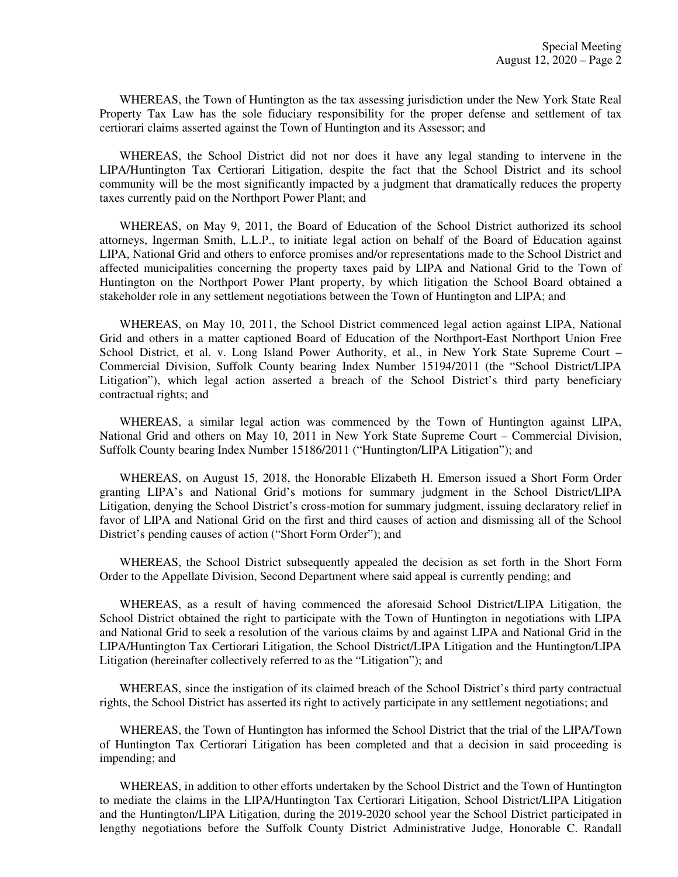WHEREAS, the Town of Huntington as the tax assessing jurisdiction under the New York State Real Property Tax Law has the sole fiduciary responsibility for the proper defense and settlement of tax certiorari claims asserted against the Town of Huntington and its Assessor; and

WHEREAS, the School District did not nor does it have any legal standing to intervene in the LIPA/Huntington Tax Certiorari Litigation, despite the fact that the School District and its school community will be the most significantly impacted by a judgment that dramatically reduces the property taxes currently paid on the Northport Power Plant; and

WHEREAS, on May 9, 2011, the Board of Education of the School District authorized its school attorneys, Ingerman Smith, L.L.P., to initiate legal action on behalf of the Board of Education against LIPA, National Grid and others to enforce promises and/or representations made to the School District and affected municipalities concerning the property taxes paid by LIPA and National Grid to the Town of Huntington on the Northport Power Plant property, by which litigation the School Board obtained a stakeholder role in any settlement negotiations between the Town of Huntington and LIPA; and

WHEREAS, on May 10, 2011, the School District commenced legal action against LIPA, National Grid and others in a matter captioned Board of Education of the Northport-East Northport Union Free School District, et al. v. Long Island Power Authority, et al., in New York State Supreme Court – Commercial Division, Suffolk County bearing Index Number 15194/2011 (the "School District/LIPA Litigation"), which legal action asserted a breach of the School District's third party beneficiary contractual rights; and

WHEREAS, a similar legal action was commenced by the Town of Huntington against LIPA, National Grid and others on May 10, 2011 in New York State Supreme Court – Commercial Division, Suffolk County bearing Index Number 15186/2011 ("Huntington/LIPA Litigation"); and

WHEREAS, on August 15, 2018, the Honorable Elizabeth H. Emerson issued a Short Form Order granting LIPA's and National Grid's motions for summary judgment in the School District/LIPA Litigation, denying the School District's cross-motion for summary judgment, issuing declaratory relief in favor of LIPA and National Grid on the first and third causes of action and dismissing all of the School District's pending causes of action ("Short Form Order"); and

WHEREAS, the School District subsequently appealed the decision as set forth in the Short Form Order to the Appellate Division, Second Department where said appeal is currently pending; and

WHEREAS, as a result of having commenced the aforesaid School District/LIPA Litigation, the School District obtained the right to participate with the Town of Huntington in negotiations with LIPA and National Grid to seek a resolution of the various claims by and against LIPA and National Grid in the LIPA/Huntington Tax Certiorari Litigation, the School District/LIPA Litigation and the Huntington/LIPA Litigation (hereinafter collectively referred to as the "Litigation"); and

WHEREAS, since the instigation of its claimed breach of the School District's third party contractual rights, the School District has asserted its right to actively participate in any settlement negotiations; and

WHEREAS, the Town of Huntington has informed the School District that the trial of the LIPA/Town of Huntington Tax Certiorari Litigation has been completed and that a decision in said proceeding is impending; and

WHEREAS, in addition to other efforts undertaken by the School District and the Town of Huntington to mediate the claims in the LIPA/Huntington Tax Certiorari Litigation, School District/LIPA Litigation and the Huntington/LIPA Litigation, during the 2019-2020 school year the School District participated in lengthy negotiations before the Suffolk County District Administrative Judge, Honorable C. Randall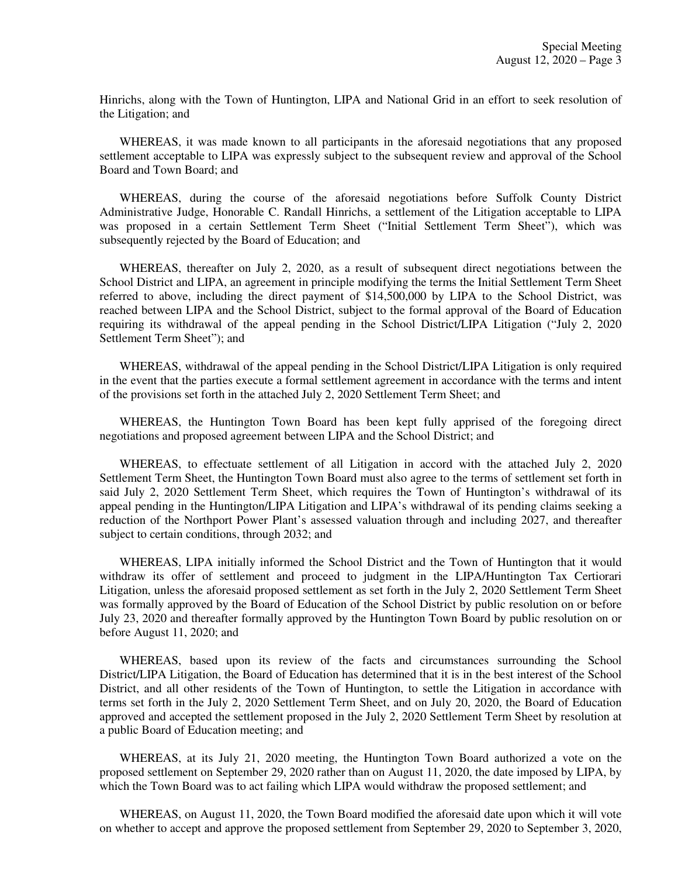Hinrichs, along with the Town of Huntington, LIPA and National Grid in an effort to seek resolution of the Litigation; and

WHEREAS, it was made known to all participants in the aforesaid negotiations that any proposed settlement acceptable to LIPA was expressly subject to the subsequent review and approval of the School Board and Town Board; and

WHEREAS, during the course of the aforesaid negotiations before Suffolk County District Administrative Judge, Honorable C. Randall Hinrichs, a settlement of the Litigation acceptable to LIPA was proposed in a certain Settlement Term Sheet ("Initial Settlement Term Sheet"), which was subsequently rejected by the Board of Education; and

WHEREAS, thereafter on July 2, 2020, as a result of subsequent direct negotiations between the School District and LIPA, an agreement in principle modifying the terms the Initial Settlement Term Sheet referred to above, including the direct payment of \$14,500,000 by LIPA to the School District, was reached between LIPA and the School District, subject to the formal approval of the Board of Education requiring its withdrawal of the appeal pending in the School District/LIPA Litigation ("July 2, 2020 Settlement Term Sheet"); and

WHEREAS, withdrawal of the appeal pending in the School District/LIPA Litigation is only required in the event that the parties execute a formal settlement agreement in accordance with the terms and intent of the provisions set forth in the attached July 2, 2020 Settlement Term Sheet; and

WHEREAS, the Huntington Town Board has been kept fully apprised of the foregoing direct negotiations and proposed agreement between LIPA and the School District; and

WHEREAS, to effectuate settlement of all Litigation in accord with the attached July 2, 2020 Settlement Term Sheet, the Huntington Town Board must also agree to the terms of settlement set forth in said July 2, 2020 Settlement Term Sheet, which requires the Town of Huntington's withdrawal of its appeal pending in the Huntington/LIPA Litigation and LIPA's withdrawal of its pending claims seeking a reduction of the Northport Power Plant's assessed valuation through and including 2027, and thereafter subject to certain conditions, through 2032; and

WHEREAS, LIPA initially informed the School District and the Town of Huntington that it would withdraw its offer of settlement and proceed to judgment in the LIPA/Huntington Tax Certiorari Litigation, unless the aforesaid proposed settlement as set forth in the July 2, 2020 Settlement Term Sheet was formally approved by the Board of Education of the School District by public resolution on or before July 23, 2020 and thereafter formally approved by the Huntington Town Board by public resolution on or before August 11, 2020; and

WHEREAS, based upon its review of the facts and circumstances surrounding the School District/LIPA Litigation, the Board of Education has determined that it is in the best interest of the School District, and all other residents of the Town of Huntington, to settle the Litigation in accordance with terms set forth in the July 2, 2020 Settlement Term Sheet, and on July 20, 2020, the Board of Education approved and accepted the settlement proposed in the July 2, 2020 Settlement Term Sheet by resolution at a public Board of Education meeting; and

WHEREAS, at its July 21, 2020 meeting, the Huntington Town Board authorized a vote on the proposed settlement on September 29, 2020 rather than on August 11, 2020, the date imposed by LIPA, by which the Town Board was to act failing which LIPA would withdraw the proposed settlement; and

WHEREAS, on August 11, 2020, the Town Board modified the aforesaid date upon which it will vote on whether to accept and approve the proposed settlement from September 29, 2020 to September 3, 2020,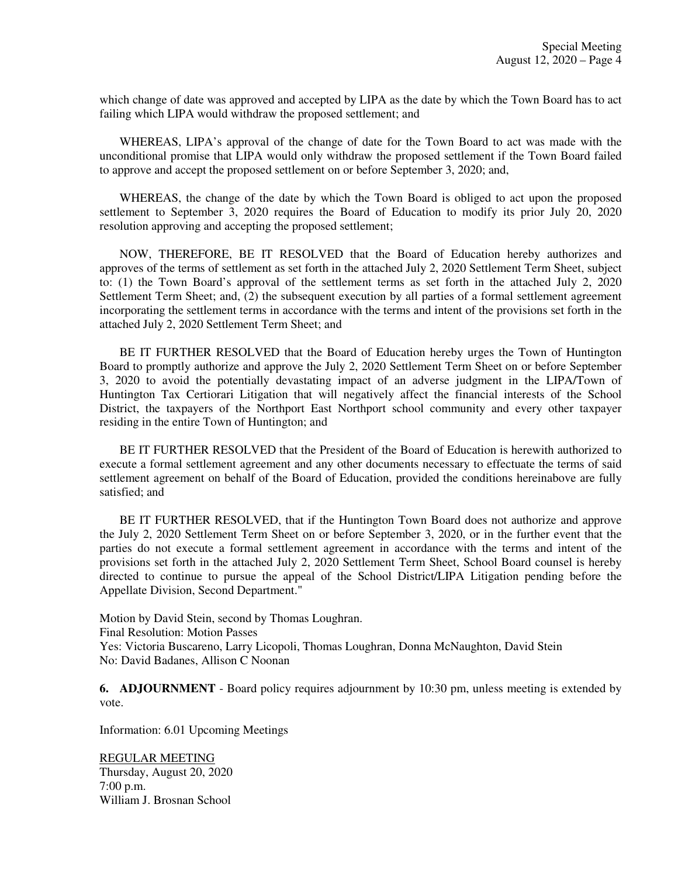which change of date was approved and accepted by LIPA as the date by which the Town Board has to act failing which LIPA would withdraw the proposed settlement; and

WHEREAS, LIPA's approval of the change of date for the Town Board to act was made with the unconditional promise that LIPA would only withdraw the proposed settlement if the Town Board failed to approve and accept the proposed settlement on or before September 3, 2020; and,

WHEREAS, the change of the date by which the Town Board is obliged to act upon the proposed settlement to September 3, 2020 requires the Board of Education to modify its prior July 20, 2020 resolution approving and accepting the proposed settlement;

NOW, THEREFORE, BE IT RESOLVED that the Board of Education hereby authorizes and approves of the terms of settlement as set forth in the attached July 2, 2020 Settlement Term Sheet, subject to: (1) the Town Board's approval of the settlement terms as set forth in the attached July 2, 2020 Settlement Term Sheet; and, (2) the subsequent execution by all parties of a formal settlement agreement incorporating the settlement terms in accordance with the terms and intent of the provisions set forth in the attached July 2, 2020 Settlement Term Sheet; and

BE IT FURTHER RESOLVED that the Board of Education hereby urges the Town of Huntington Board to promptly authorize and approve the July 2, 2020 Settlement Term Sheet on or before September 3, 2020 to avoid the potentially devastating impact of an adverse judgment in the LIPA/Town of Huntington Tax Certiorari Litigation that will negatively affect the financial interests of the School District, the taxpayers of the Northport East Northport school community and every other taxpayer residing in the entire Town of Huntington; and

BE IT FURTHER RESOLVED that the President of the Board of Education is herewith authorized to execute a formal settlement agreement and any other documents necessary to effectuate the terms of said settlement agreement on behalf of the Board of Education, provided the conditions hereinabove are fully satisfied; and

BE IT FURTHER RESOLVED, that if the Huntington Town Board does not authorize and approve the July 2, 2020 Settlement Term Sheet on or before September 3, 2020, or in the further event that the parties do not execute a formal settlement agreement in accordance with the terms and intent of the provisions set forth in the attached July 2, 2020 Settlement Term Sheet, School Board counsel is hereby directed to continue to pursue the appeal of the School District/LIPA Litigation pending before the Appellate Division, Second Department."

Motion by David Stein, second by Thomas Loughran. Final Resolution: Motion Passes Yes: Victoria Buscareno, Larry Licopoli, Thomas Loughran, Donna McNaughton, David Stein No: David Badanes, Allison C Noonan

**6. ADJOURNMENT** - Board policy requires adjournment by 10:30 pm, unless meeting is extended by vote.

Information: 6.01 Upcoming Meetings

REGULAR MEETING Thursday, August 20, 2020 7:00 p.m. William J. Brosnan School